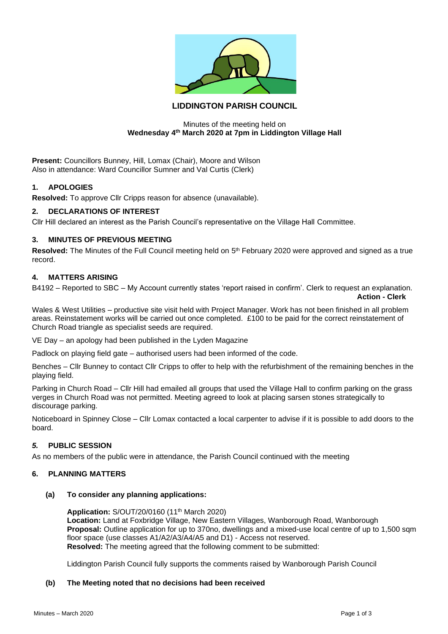

# **LIDDINGTON PARISH COUNCIL**

## Minutes of the meeting held on **Wednesday 4th March 2020 at 7pm in Liddington Village Hall**

**Present:** Councillors Bunney, Hill, Lomax (Chair), Moore and Wilson Also in attendance: Ward Councillor Sumner and Val Curtis (Clerk)

## **1. APOLOGIES**

**Resolved:** To approve Cllr Cripps reason for absence (unavailable).

## **2. DECLARATIONS OF INTEREST**

Cllr Hill declared an interest as the Parish Council's representative on the Village Hall Committee.

## **3. MINUTES OF PREVIOUS MEETING**

Resolved: The Minutes of the Full Council meeting held on 5<sup>th</sup> February 2020 were approved and signed as a true record.

# **4. MATTERS ARISING**

B4192 – Reported to SBC – My Account currently states 'report raised in confirm'. Clerk to request an explanation. **Action - Clerk**

Wales & West Utilities – productive site visit held with Project Manager. Work has not been finished in all problem areas. Reinstatement works will be carried out once completed. £100 to be paid for the correct reinstatement of Church Road triangle as specialist seeds are required.

VE Day – an apology had been published in the Lyden Magazine

Padlock on playing field gate – authorised users had been informed of the code.

Benches – Cllr Bunney to contact Cllr Cripps to offer to help with the refurbishment of the remaining benches in the playing field.

Parking in Church Road – Cllr Hill had emailed all groups that used the Village Hall to confirm parking on the grass verges in Church Road was not permitted. Meeting agreed to look at placing sarsen stones strategically to discourage parking.

Noticeboard in Spinney Close – Cllr Lomax contacted a local carpenter to advise if it is possible to add doors to the board.

# *5.* **PUBLIC SESSION**

As no members of the public were in attendance, the Parish Council continued with the meeting

## **6. PLANNING MATTERS**

#### **(a) To consider any planning applications:**

**Application:** S/OUT/20/0160 (11th March 2020) **Location:** Land at Foxbridge Village, New Eastern Villages, Wanborough Road, Wanborough **Proposal:** Outline application for up to 370no, dwellings and a mixed-use local centre of up to 1,500 sqm floor space (use classes A1/A2/A3/A4/A5 and D1) - Access not reserved. **Resolved:** The meeting agreed that the following comment to be submitted:

Liddington Parish Council fully supports the comments raised by Wanborough Parish Council

#### **(b) The Meeting noted that no decisions had been received**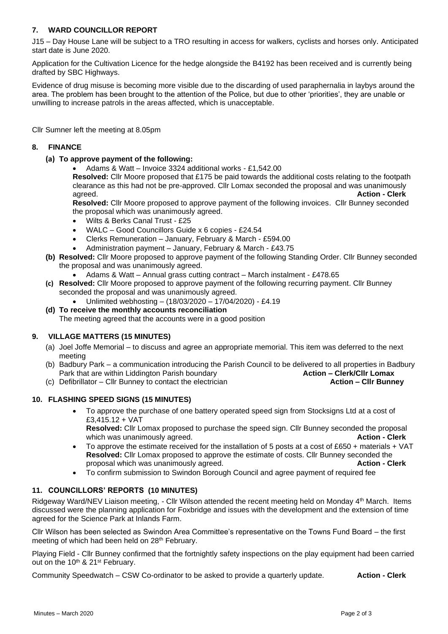# **7. WARD COUNCILLOR REPORT**

J15 – Day House Lane will be subject to a TRO resulting in access for walkers, cyclists and horses only. Anticipated start date is June 2020.

Application for the Cultivation Licence for the hedge alongside the B4192 has been received and is currently being drafted by SBC Highways.

Evidence of drug misuse is becoming more visible due to the discarding of used paraphernalia in laybys around the area. The problem has been brought to the attention of the Police, but due to other 'priorities', they are unable or unwilling to increase patrols in the areas affected, which is unacceptable.

Cllr Sumner left the meeting at 8.05pm

# **8. FINANCE**

**(a) To approve payment of the following:**

• Adams & Watt – Invoice 3324 additional works - £1,542.00

**Resolved:** Cllr Moore proposed that £175 be paid towards the additional costs relating to the footpath clearance as this had not be pre-approved. Cllr Lomax seconded the proposal and was unanimously agreed. **Action - Clerk**

**Resolved:** Cllr Moore proposed to approve payment of the following invoices. Cllr Bunney seconded the proposal which was unanimously agreed.

- Wilts & Berks Canal Trust £25
- WALC Good Councillors Guide x 6 copies £24.54
- Clerks Remuneration January, February & March £594.00
- Administration payment January, February & March £43.75
- **(b) Resolved:** Cllr Moore proposed to approve payment of the following Standing Order. Cllr Bunney seconded the proposal and was unanimously agreed.
	- Adams & Watt Annual grass cutting contract March instalment £478.65
- **(c) Resolved:** Cllr Moore proposed to approve payment of the following recurring payment. Cllr Bunney seconded the proposal and was unanimously agreed.
	- Unlimited webhosting (18/03/2020 17/04/2020) £4.19

## **(d) To receive the monthly accounts reconciliation**

The meeting agreed that the accounts were in a good position

# **9. VILLAGE MATTERS (15 MINUTES)**

- (a) Joel Joffe Memorial to discuss and agree an appropriate memorial. This item was deferred to the next meeting
- (b) Badbury Park a communication introducing the Parish Council to be delivered to all properties in Badbury Park that are within Liddington Parish boundary **Action – Clerk/Cllr Lomax Action – Clerk/Cllr Lomax**
- (c) Defibrillator Cllr Bunney to contact the electrician **Action – Cllr Bunney**

# **10. FLASHING SPEED SIGNS (15 MINUTES)**

• To approve the purchase of one battery operated speed sign from Stocksigns Ltd at a cost of £3,415.12 + VAT

**Resolved:** Cllr Lomax proposed to purchase the speed sign. Cllr Bunney seconded the proposal which was unanimously agreed. **Action - Clerk** and **Action - Clerk** and **Action** - **Clerk** 

- To approve the estimate received for the installation of 5 posts at a cost of £650 + materials + VAT **Resolved:** Cllr Lomax proposed to approve the estimate of costs. Cllr Bunney seconded the proposal which was unanimously agreed. **Action - Clerk**
- To confirm submission to Swindon Borough Council and agree payment of required fee

# **11. COUNCILLORS' REPORTS (10 MINUTES)**

Ridgeway Ward/NEV Liaison meeting, - Cllr Wilson attended the recent meeting held on Monday 4<sup>th</sup> March. Items discussed were the planning application for Foxbridge and issues with the development and the extension of time agreed for the Science Park at Inlands Farm.

Cllr Wilson has been selected as Swindon Area Committee's representative on the Towns Fund Board – the first meeting of which had been held on 28<sup>th</sup> February.

Playing Field - Cllr Bunney confirmed that the fortnightly safety inspections on the play equipment had been carried out on the 10<sup>th</sup> & 21<sup>st</sup> February.

Community Speedwatch – CSW Co-ordinator to be asked to provide a quarterly update. **Action - Clerk**